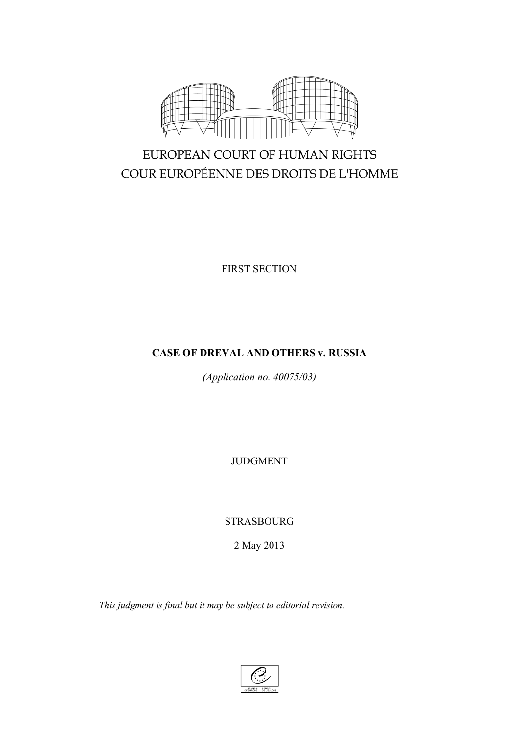

# EUROPEAN COURT OF HUMAN RIGHTS COUR EUROPÉENNE DES DROITS DE L'HOMME

FIRST SECTION

## **CASE OF DREVAL AND OTHERS v. RUSSIA**

*(Application no. 40075/03)*

JUDGMENT

STRASBOURG

2 May 2013

*This judgment is final but it may be subject to editorial revision.*

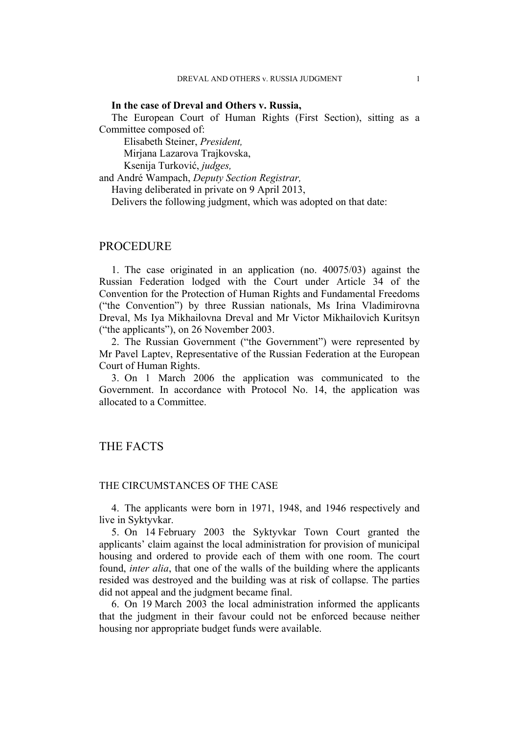#### **In the case of Dreval and Others v. Russia,**

The European Court of Human Rights (First Section), sitting as a Committee composed of:

Elisabeth Steiner, *President,* Mirjana Lazarova Trajkovska,

Ksenija Turković, *judges,*

and André Wampach, *Deputy Section Registrar,*

Having deliberated in private on 9 April 2013,

Delivers the following judgment, which was adopted on that date:

## PROCEDURE

1. The case originated in an application (no. 40075/03) against the Russian Federation lodged with the Court under Article 34 of the Convention for the Protection of Human Rights and Fundamental Freedoms ("the Convention") by three Russian nationals, Ms Irina Vladimirovna Dreval, Ms Iya Mikhailovna Dreval and Mr Victor Mikhailovich Kuritsyn ("the applicants"), on 26 November 2003.

2. The Russian Government ("the Government") were represented by Mr Pavel Laptev, Representative of the Russian Federation at the European Court of Human Rights.

3. On 1 March 2006 the application was communicated to the Government. In accordance with Protocol No. 14, the application was allocated to a Committee.

## THE FACTS

### THE CIRCUMSTANCES OF THE CASE

4. The applicants were born in 1971, 1948, and 1946 respectively and live in Syktyvkar.

5. On 14 February 2003 the Syktyvkar Town Court granted the applicants' claim against the local administration for provision of municipal housing and ordered to provide each of them with one room. The court found, *inter alia*, that one of the walls of the building where the applicants resided was destroyed and the building was at risk of collapse. The parties did not appeal and the judgment became final.

6. On 19 March 2003 the local administration informed the applicants that the judgment in their favour could not be enforced because neither housing nor appropriate budget funds were available.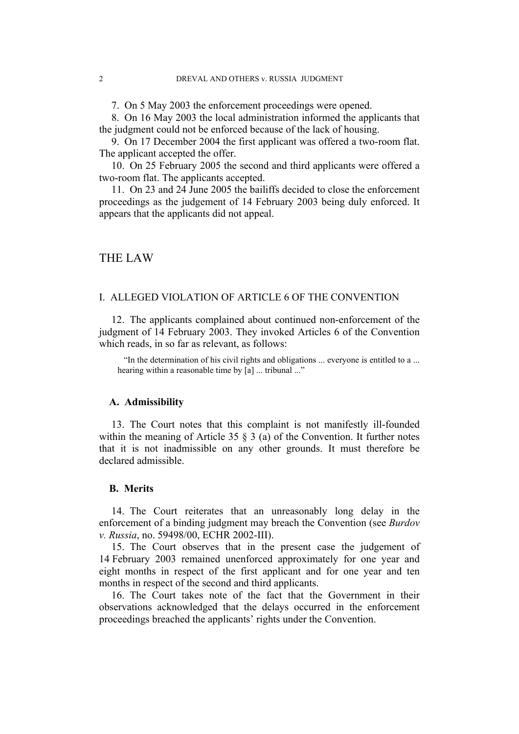7. On 5 May 2003 the enforcement proceedings were opened.

8. On 16 May 2003 the local administration informed the applicants that the judgment could not be enforced because of the lack of housing.

9. On 17 December 2004 the first applicant was offered a two-room flat. The applicant accepted the offer.

10. On 25 February 2005 the second and third applicants were offered a two-room flat. The applicants accepted.

11. On 23 and 24 June 2005 the bailiffs decided to close the enforcement proceedings as the judgement of 14 February 2003 being duly enforced. It appears that the applicants did not appeal.

## THE LAW

#### I. ALLEGED VIOLATION OF ARTICLE 6 OF THE CONVENTION

12. The applicants complained about continued non-enforcement of the judgment of 14 February 2003. They invoked Articles 6 of the Convention which reads, in so far as relevant, as follows:

"In the determination of his civil rights and obligations ... everyone is entitled to a ... hearing within a reasonable time by [a] ... tribunal ..."

#### **A. Admissibility**

13. The Court notes that this complaint is not manifestly ill-founded within the meaning of Article 35  $\S$  3 (a) of the Convention. It further notes that it is not inadmissible on any other grounds. It must therefore be declared admissible.

#### **B. Merits**

14. The Court reiterates that an unreasonably long delay in the enforcement of a binding judgment may breach the Convention (see *Burdov v. Russia*, no. 59498/00, ECHR 2002-III).

15. The Court observes that in the present case the judgement of 14 February 2003 remained unenforced approximately for one year and eight months in respect of the first applicant and for one year and ten months in respect of the second and third applicants.

16. The Court takes note of the fact that the Government in their observations acknowledged that the delays occurred in the enforcement proceedings breached the applicants' rights under the Convention.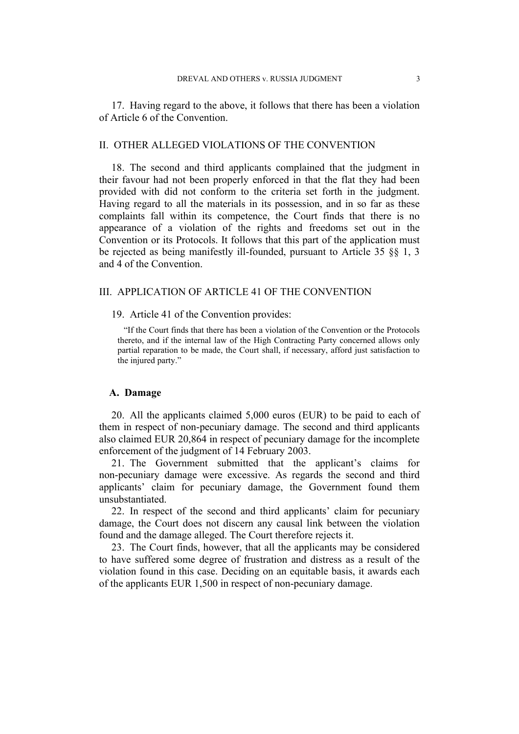17. Having regard to the above, it follows that there has been a violation of Article 6 of the Convention.

#### II. OTHER ALLEGED VIOLATIONS OF THE CONVENTION

18. The second and third applicants complained that the judgment in their favour had not been properly enforced in that the flat they had been provided with did not conform to the criteria set forth in the judgment. Having regard to all the materials in its possession, and in so far as these complaints fall within its competence, the Court finds that there is no appearance of a violation of the rights and freedoms set out in the Convention or its Protocols. It follows that this part of the application must be rejected as being manifestly ill-founded, pursuant to Article 35 §§ 1, 3 and 4 of the Convention.

#### III. APPLICATION OF ARTICLE 41 OF THE CONVENTION

19. Article 41 of the Convention provides:

"If the Court finds that there has been a violation of the Convention or the Protocols thereto, and if the internal law of the High Contracting Party concerned allows only partial reparation to be made, the Court shall, if necessary, afford just satisfaction to the injured party."

#### **A. Damage**

20. All the applicants claimed 5,000 euros (EUR) to be paid to each of them in respect of non-pecuniary damage. The second and third applicants also claimed EUR 20,864 in respect of pecuniary damage for the incomplete enforcement of the judgment of 14 February 2003.

21. The Government submitted that the applicant's claims for non-pecuniary damage were excessive. As regards the second and third applicants' claim for pecuniary damage, the Government found them unsubstantiated.

22. In respect of the second and third applicants' claim for pecuniary damage, the Court does not discern any causal link between the violation found and the damage alleged. The Court therefore rejects it.

23. The Court finds, however, that all the applicants may be considered to have suffered some degree of frustration and distress as a result of the violation found in this case. Deciding on an equitable basis, it awards each of the applicants EUR 1,500 in respect of non-pecuniary damage.